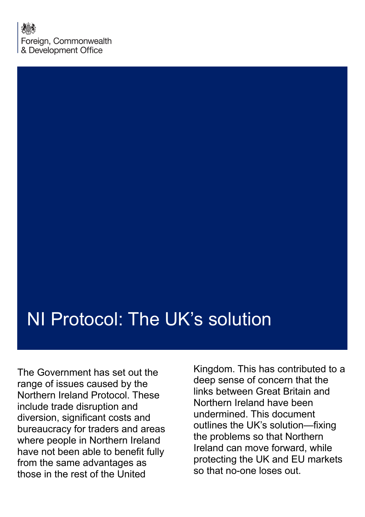# NI Protocol: The UK's solution

The Government has set out the range of issues caused by the Northern Ireland Protocol. These include trade disruption and diversion, significant costs and bureaucracy for traders and areas where people in Northern Ireland have not been able to benefit fully from the same advantages as those in the rest of the United

Kingdom. This has contributed to a deep sense of concern that the links between Great Britain and Northern Ireland have been undermined. This document outlines the UK's solution—fixing the problems so that Northern Ireland can move forward, while protecting the UK and EU markets so that no-one loses out.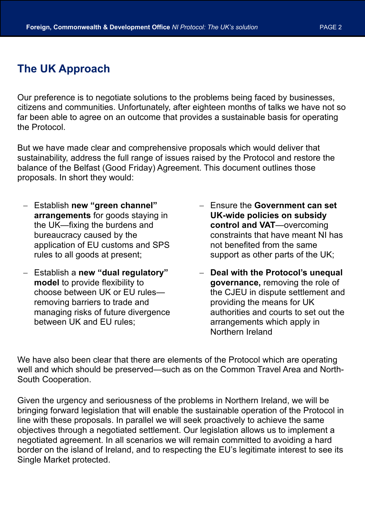# **The UK Approach**

Our preference is to negotiate solutions to the problems being faced by businesses, citizens and communities. Unfortunately, after eighteen months of talks we have not so far been able to agree on an outcome that provides a sustainable basis for operating the Protocol.

But we have made clear and comprehensive proposals which would deliver that sustainability, address the full range of issues raised by the Protocol and restore the balance of the Belfast (Good Friday) Agreement. This document outlines those proposals. In short they would:

- Establish **new "green channel" arrangements** for goods staying in the UK—fixing the burdens and bureaucracy caused by the application of EU customs and SPS rules to all goods at present;
- Establish a **new "dual regulatory" model** to provide flexibility to choose between UK or EU rules removing barriers to trade and managing risks of future divergence between UK and EU rules;
- Ensure the **Government can set UK-wide policies on subsidy control and VAT**—overcoming constraints that have meant NI has not benefited from the same support as other parts of the UK;
- **Deal with the Protocol's unequal governance,** removing the role of the CJEU in dispute settlement and providing the means for UK authorities and courts to set out the arrangements which apply in Northern Ireland

We have also been clear that there are elements of the Protocol which are operating well and which should be preserved—such as on the Common Travel Area and North-South Cooperation.

Given the urgency and seriousness of the problems in Northern Ireland, we will be bringing forward legislation that will enable the sustainable operation of the Protocol in line with these proposals. In parallel we will seek proactively to achieve the same objectives through a negotiated settlement. Our legislation allows us to implement a negotiated agreement. In all scenarios we will remain committed to avoiding a hard border on the island of Ireland, and to respecting the EU's legitimate interest to see its Single Market protected.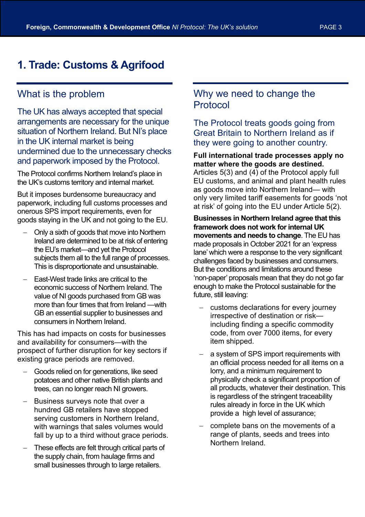# **1. Trade: Customs & Agrifood**

## What is the problem

The UK has always accepted that special arrangements are necessary for the unique situation of Northern Ireland. But NI's place in the UK internal market is being undermined due to the unnecessary checks and paperwork imposed by the Protocol.

The Protocol confirms Northern Ireland's place in the UK's customs territory and internal market.

But it imposes burdensome bureaucracy and paperwork, including full customs processes and onerous SPS import requirements, even for goods staying in the UK and not going to the EU.

- Only a sixth of goods that move into Northern Ireland are determined to be at risk of entering the EU's market—and yet the Protocol subjects them all to the full range of processes. This is disproportionate and unsustainable.
- East-West trade links are critical to the economic success of Northern Ireland. The value of NI goods purchased from GB was more than four times that from Ireland —with GB an essential supplier to businesses and consumers in Northern Ireland.

This has had impacts on costs for businesses and availability for consumers—with the prospect of further disruption for key sectors if existing grace periods are removed.

- Goods relied on for generations, like seed potatoes and other native British plants and trees, can no longer reach NI growers.
- Business surveys note that over a hundred GB retailers have stopped serving customers in Northern Ireland, with warnings that sales volumes would fall by up to a third without grace periods.
- These effects are felt through critical parts of the supply chain, from haulage firms and small businesses through to large retailers.

## Why we need to change the Protocol

The Protocol treats goods going from Great Britain to Northern Ireland as if they were going to another country.

#### **Full international trade processes apply no matter where the goods are destined.**

Articles 5(3) and (4) of the Protocol apply full EU customs, and animal and plant health rules as goods move into Northern Ireland— with only very limited tariff easements for goods 'not at risk' of going into the EU under Article 5(2).

**Businesses in Northern Ireland agree that this framework does not work for internal UK movements and needs to change**. The EU has made proposals in October 2021 for an 'express lane' which were a response to the very significant challenges faced by businesses and consumers. But the conditions and limitations around these 'non-paper' proposals mean that they do not go far enough to make the Protocol sustainable for the future, still leaving:

- customs declarations for every journey irrespective of destination or risk including finding a specific commodity code, from over 7000 items, for every item shipped.
- a system of SPS import requirements with an official process needed for all items on a lorry, and a minimum requirement to physically check a significant proportion of all products, whatever their destination. This is regardless of the stringent traceability rules already in force in the UK which provide a high level of assurance;
- complete bans on the movements of a range of plants, seeds and trees into Northern Ireland.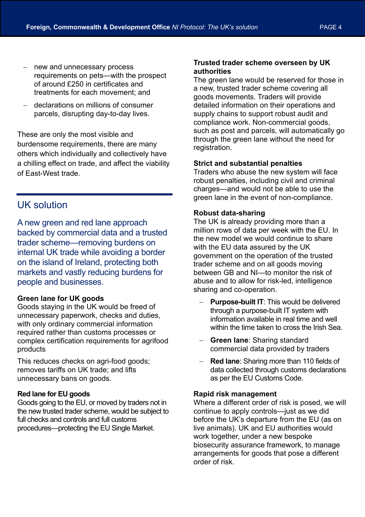- new and unnecessary process requirements on pets—with the prospect of around £250 in certificates and treatments for each movement; and
- declarations on millions of consumer parcels, disrupting day-to-day lives.

These are only the most visible and burdensome requirements, there are many others which individually and collectively have a chilling effect on trade, and affect the viability of East-West trade.

## UK solution

A new green and red lane approach backed by commercial data and a trusted trader scheme—removing burdens on internal UK trade while avoiding a border on the island of Ireland, protecting both markets and vastly reducing burdens for people and businesses.

#### **Green lane for UK goods**

Goods staying in the UK would be freed of unnecessary paperwork, checks and duties, with only ordinary commercial information required rather than customs processes or complex certification requirements for agrifood products

This reduces checks on agri-food goods; removes tariffs on UK trade; and lifts unnecessary bans on goods.

#### **Red lane for EU goods**

Goods going to the EU, or moved by traders not in the new trusted trader scheme, would be subject to full checks and controls and full customs procedures—protecting the EU Single Market.

#### **Trusted trader scheme overseen by UK authorities**

The green lane would be reserved for those in a new, trusted trader scheme covering all goods movements. Traders will provide detailed information on their operations and supply chains to support robust audit and compliance work. Non-commercial goods, such as post and parcels, will automatically go through the green lane without the need for registration.

#### **Strict and substantial penalties**

Traders who abuse the new system will face robust penalties, including civil and criminal charges—and would not be able to use the green lane in the event of non-compliance.

#### **Robust data-sharing**

The UK is already providing more than a million rows of data per week with the EU. In the new model we would continue to share with the EU data assured by the UK government on the operation of the trusted trader scheme and on all goods moving between GB and NI—to monitor the risk of abuse and to allow for risk-led, intelligence sharing and co-operation.

- **Purpose-built IT:** This would be delivered through a purpose-built IT system with information available in real time and well within the time taken to cross the Irish Sea.
- **Green lane**: Sharing standard commercial data provided by traders
- **Red lane**: Sharing more than 110 fields of data collected through customs declarations as per the EU Customs Code.

#### **Rapid risk management**

Where a different order of risk is posed, we will continue to apply controls—just as we did before the UK's departure from the EU (as on live animals). UK and EU authorities would work together, under a new bespoke biosecurity assurance framework, to manage arrangements for goods that pose a different order of risk.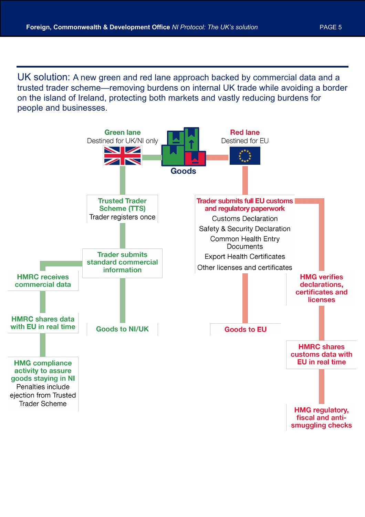UK solution: A new green and red lane approach backed by commercial data and a trusted trader scheme—removing burdens on internal UK trade while avoiding a border on the island of Ireland, protecting both markets and vastly reducing burdens for people and businesses.

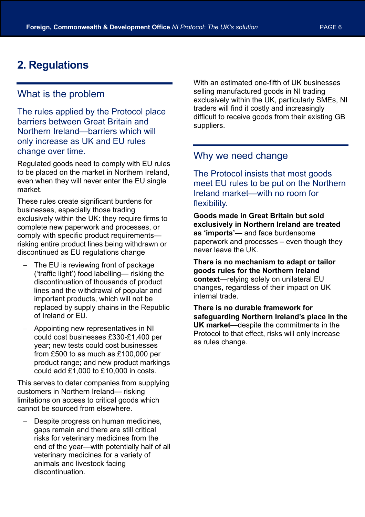# **2. Regulations**

## What is the problem

The rules applied by the Protocol place barriers between Great Britain and Northern Ireland—barriers which will only increase as UK and EU rules change over time.

Regulated goods need to comply with EU rules to be placed on the market in Northern Ireland, even when they will never enter the EU single market.

These rules create significant burdens for businesses, especially those trading exclusively within the UK: they require firms to complete new paperwork and processes, or comply with specific product requirements risking entire product lines being withdrawn or discontinued as EU regulations change

- The EU is reviewing front of package ('traffic light') food labelling— risking the discontinuation of thousands of product lines and the withdrawal of popular and important products, which will not be replaced by supply chains in the Republic of Ireland or EU.
- Appointing new representatives in NI could cost businesses £330-£1,400 per year; new tests could cost businesses from £500 to as much as £100,000 per product range; and new product markings could add £1,000 to £10,000 in costs.

This serves to deter companies from supplying customers in Northern Ireland— risking limitations on access to critical goods which cannot be sourced from elsewhere.

Despite progress on human medicines. gaps remain and there are still critical risks for veterinary medicines from the end of the year—with potentially half of all veterinary medicines for a variety of animals and livestock facing discontinuation.

With an estimated one-fifth of UK businesses selling manufactured goods in NI trading exclusively within the UK, particularly SMEs, NI traders will find it costly and increasingly difficult to receive goods from their existing GB suppliers.

## Why we need change

The Protocol insists that most goods meet EU rules to be put on the Northern Ireland market—with no room for flexibility.

**Goods made in Great Britain but sold exclusively in Northern Ireland are treated as 'imports'—** and face burdensome paperwork and processes – even though they never leave the UK.

**There is no mechanism to adapt or tailor goods rules for the Northern Ireland context**—relying solely on unilateral EU changes, regardless of their impact on UK internal trade.

**There is no durable framework for safeguarding Northern Ireland's place in the UK market**—despite the commitments in the Protocol to that effect, risks will only increase as rules change.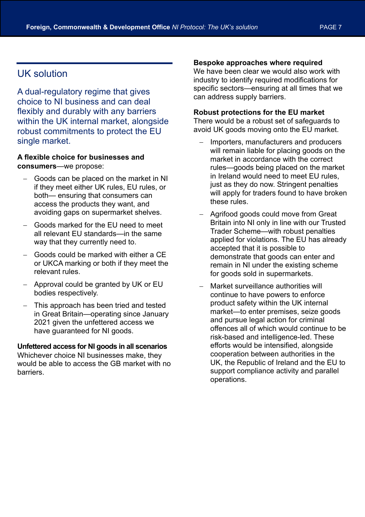## UK solution

A dual-regulatory regime that gives choice to NI business and can deal flexibly and durably with any barriers within the UK internal market, alongside robust commitments to protect the EU single market.

#### **A flexible choice for businesses and consumers**—we propose:

- Goods can be placed on the market in NI if they meet either UK rules, EU rules, or both— ensuring that consumers can access the products they want, and avoiding gaps on supermarket shelves.
- Goods marked for the EU need to meet all relevant EU standards—in the same way that they currently need to.
- Goods could be marked with either a CE or UKCA marking or both if they meet the relevant rules.
- Approval could be granted by UK or EU bodies respectively.
- This approach has been tried and tested in Great Britain—operating since January 2021 given the unfettered access we have guaranteed for NI goods.

## **Unfettered access for NI goods in all scenarios**

Whichever choice NI businesses make, they would be able to access the GB market with no barriers.

#### **Bespoke approaches where required**

We have been clear we would also work with industry to identify required modifications for specific sectors—ensuring at all times that we can address supply barriers.

#### **Robust protections for the EU market**

There would be a robust set of safeguards to avoid UK goods moving onto the EU market.

- Importers, manufacturers and producers will remain liable for placing goods on the market in accordance with the correct rules—goods being placed on the market in Ireland would need to meet EU rules, just as they do now. Stringent penalties will apply for traders found to have broken these rules.
- Agrifood goods could move from Great Britain into NI only in line with our Trusted Trader Scheme—with robust penalties applied for violations. The EU has already accepted that it is possible to demonstrate that goods can enter and remain in NI under the existing scheme for goods sold in supermarkets.
- Market surveillance authorities will continue to have powers to enforce product safety within the UK internal market—to enter premises, seize goods and pursue legal action for criminal offences all of which would continue to be risk-based and intelligence-led. These efforts would be intensified, alongside cooperation between authorities in the UK, the Republic of Ireland and the EU to support compliance activity and parallel operations.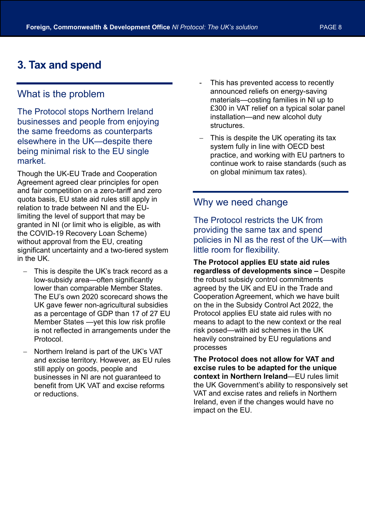## **3. Tax and spend**

## What is the problem

The Protocol stops Northern Ireland businesses and people from enjoying the same freedoms as counterparts elsewhere in the UK—despite there being minimal risk to the EU single market.

Though the UK-EU Trade and Cooperation Agreement agreed clear principles for open and fair competition on a zero-tariff and zero quota basis, EU state aid rules still apply in relation to trade between NI and the EUlimiting the level of support that may be granted in NI (or limit who is eligible, as with the COVID-19 Recovery Loan Scheme) without approval from the EU, creating significant uncertainty and a two-tiered system in the UK.

- This is despite the UK's track record as a low-subsidy area—often significantly lower than comparable Member States. The EU's own 2020 scorecard shows the UK gave fewer non-agricultural subsidies as a percentage of GDP than 17 of 27 EU Member States —yet this low risk profile is not reflected in arrangements under the Protocol.
- Northern Ireland is part of the UK's VAT and excise territory. However, as EU rules still apply on goods, people and businesses in NI are not guaranteed to benefit from UK VAT and excise reforms or reductions.
- This has prevented access to recently announced reliefs on energy-saving materials—costing families in NI up to £300 in VAT relief on a typical solar panel installation—and new alcohol duty structures.
- This is despite the UK operating its tax system fully in line with OECD best practice, and working with EU partners to continue work to raise standards (such as on global minimum tax rates).

## Why we need change

The Protocol restricts the UK from providing the same tax and spend policies in NI as the rest of the UK—with little room for flexibility.

**The Protocol applies EU state aid rules regardless of developments since –** Despite the robust subsidy control commitments agreed by the UK and EU in the Trade and Cooperation Agreement, which we have built on the in the Subsidy Control Act 2022, the Protocol applies EU state aid rules with no means to adapt to the new context or the real risk posed—with aid schemes in the UK heavily constrained by EU regulations and processes

**The Protocol does not allow for VAT and excise rules to be adapted for the unique context in Northern Ireland**—EU rules limit the UK Government's ability to responsively set VAT and excise rates and reliefs in Northern Ireland, even if the changes would have no impact on the EU.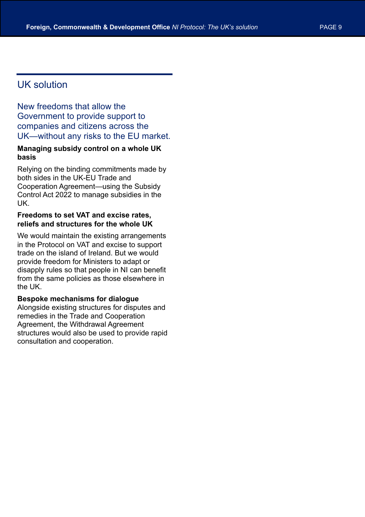## UK solution

New freedoms that allow the Government to provide support to companies and citizens across the UK—without any risks to the EU market.

#### **Managing subsidy control on a whole UK basis**

Relying on the binding commitments made by both sides in the UK-EU Trade and Cooperation Agreement—using the Subsidy Control Act 2022 to manage subsidies in the UK.

#### **Freedoms to set VAT and excise rates, reliefs and structures for the whole UK**

We would maintain the existing arrangements in the Protocol on VAT and excise to support trade on the island of Ireland. But we would provide freedom for Ministers to adapt or disapply rules so that people in NI can benefit from the same policies as those elsewhere in the UK.

#### **Bespoke mechanisms for dialogue**

Alongside existing structures for disputes and remedies in the Trade and Cooperation Agreement, the Withdrawal Agreement structures would also be used to provide rapid consultation and cooperation.